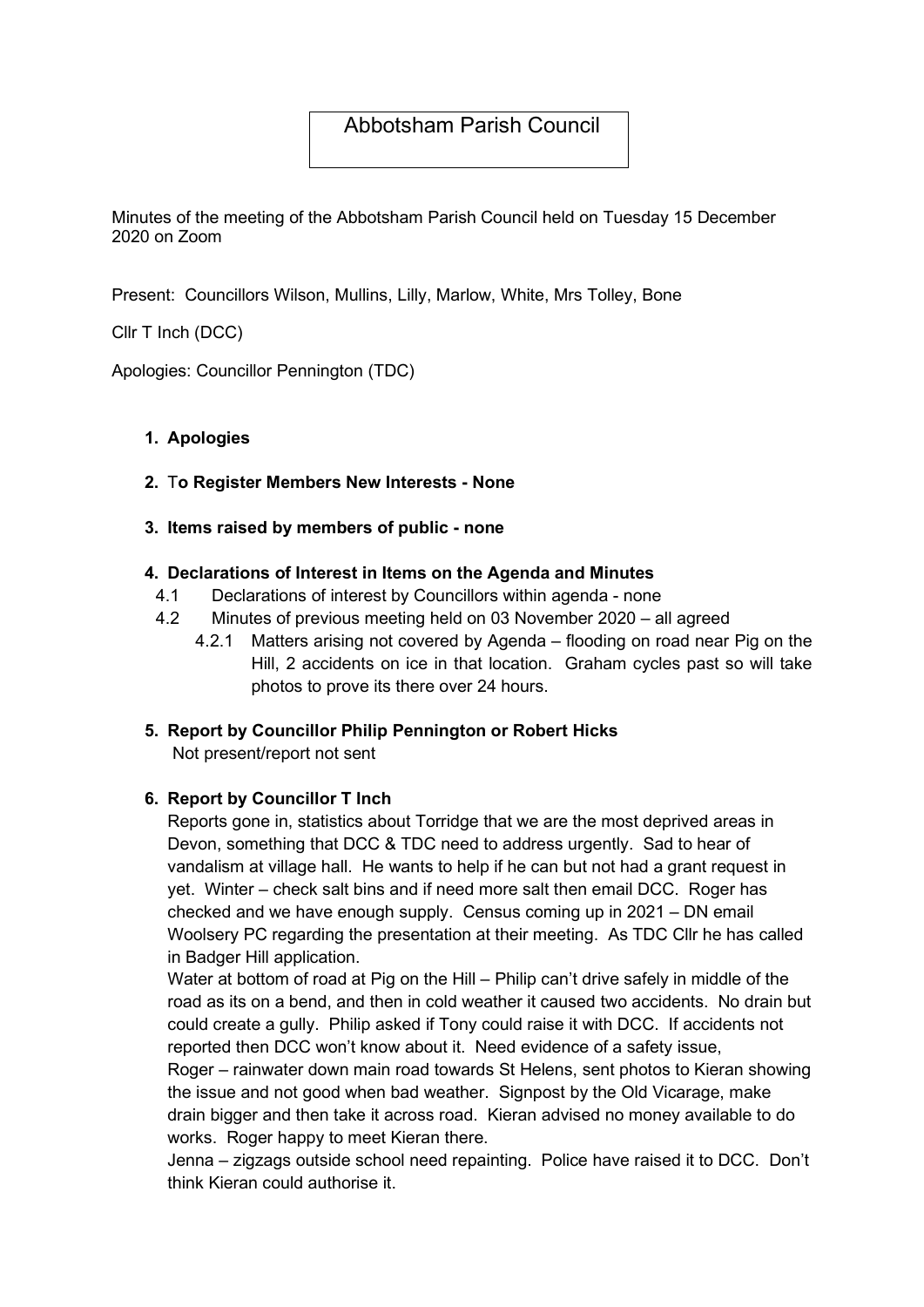# Abbotsham Parish Council

Minutes of the meeting of the Abbotsham Parish Council held on Tuesday 15 December 2020 on Zoom

Present: Councillors Wilson, Mullins, Lilly, Marlow, White, Mrs Tolley, Bone

Cllr T Inch (DCC)

Apologies: Councillor Pennington (TDC)

# 1. Apologies

### 2. To Register Members New Interests - None

#### 3. Items raised by members of public - none

#### 4. Declarations of Interest in Items on the Agenda and Minutes

- 4.1 Declarations of interest by Councillors within agenda none
- 4.2 Minutes of previous meeting held on 03 November 2020 all agreed
	- 4.2.1 Matters arising not covered by Agenda flooding on road near Pig on the Hill, 2 accidents on ice in that location. Graham cycles past so will take photos to prove its there over 24 hours.

# 5. Report by Councillor Philip Pennington or Robert Hicks

Not present/report not sent

# 6. Report by Councillor T Inch

Reports gone in, statistics about Torridge that we are the most deprived areas in Devon, something that DCC & TDC need to address urgently. Sad to hear of vandalism at village hall. He wants to help if he can but not had a grant request in yet. Winter – check salt bins and if need more salt then email DCC. Roger has checked and we have enough supply. Census coming up in 2021 – DN email Woolsery PC regarding the presentation at their meeting. As TDC Cllr he has called in Badger Hill application.

Water at bottom of road at Pig on the Hill – Philip can't drive safely in middle of the road as its on a bend, and then in cold weather it caused two accidents. No drain but could create a gully. Philip asked if Tony could raise it with DCC. If accidents not reported then DCC won't know about it. Need evidence of a safety issue,

Roger – rainwater down main road towards St Helens, sent photos to Kieran showing the issue and not good when bad weather. Signpost by the Old Vicarage, make drain bigger and then take it across road. Kieran advised no money available to do works. Roger happy to meet Kieran there.

Jenna – zigzags outside school need repainting. Police have raised it to DCC. Don't think Kieran could authorise it.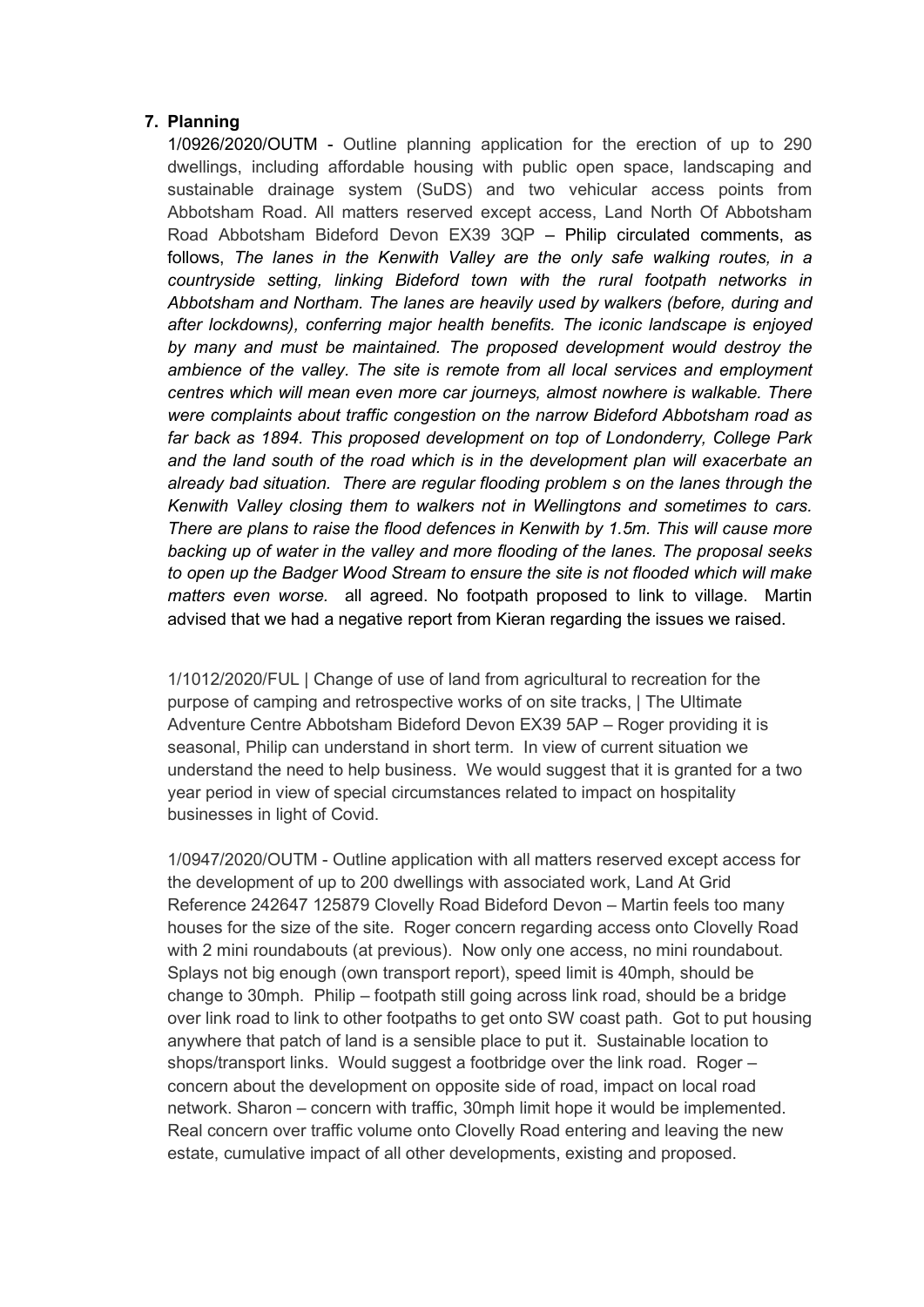#### 7. Planning

1/0926/2020/OUTM - Outline planning application for the erection of up to 290 dwellings, including affordable housing with public open space, landscaping and sustainable drainage system (SuDS) and two vehicular access points from Abbotsham Road. All matters reserved except access, Land North Of Abbotsham Road Abbotsham Bideford Devon EX39 3QP – Philip circulated comments, as follows, The lanes in the Kenwith Valley are the only safe walking routes, in a countryside setting, linking Bideford town with the rural footpath networks in Abbotsham and Northam. The lanes are heavily used by walkers (before, during and after lockdowns), conferring major health benefits. The iconic landscape is enjoyed by many and must be maintained. The proposed development would destroy the ambience of the valley. The site is remote from all local services and employment centres which will mean even more car journeys, almost nowhere is walkable. There were complaints about traffic congestion on the narrow Bideford Abbotsham road as far back as 1894. This proposed development on top of Londonderry, College Park and the land south of the road which is in the development plan will exacerbate an already bad situation. There are regular flooding problem s on the lanes through the Kenwith Valley closing them to walkers not in Wellingtons and sometimes to cars. There are plans to raise the flood defences in Kenwith by 1.5m. This will cause more backing up of water in the valley and more flooding of the lanes. The proposal seeks to open up the Badger Wood Stream to ensure the site is not flooded which will make matters even worse. all agreed. No footpath proposed to link to village. Martin advised that we had a negative report from Kieran regarding the issues we raised.

1/1012/2020/FUL | Change of use of land from agricultural to recreation for the purpose of camping and retrospective works of on site tracks, | The Ultimate Adventure Centre Abbotsham Bideford Devon EX39 5AP – Roger providing it is seasonal, Philip can understand in short term. In view of current situation we understand the need to help business. We would suggest that it is granted for a two year period in view of special circumstances related to impact on hospitality businesses in light of Covid.

1/0947/2020/OUTM - Outline application with all matters reserved except access for the development of up to 200 dwellings with associated work, Land At Grid Reference 242647 125879 Clovelly Road Bideford Devon – Martin feels too many houses for the size of the site. Roger concern regarding access onto Clovelly Road with 2 mini roundabouts (at previous). Now only one access, no mini roundabout. Splays not big enough (own transport report), speed limit is 40mph, should be change to 30mph. Philip – footpath still going across link road, should be a bridge over link road to link to other footpaths to get onto SW coast path. Got to put housing anywhere that patch of land is a sensible place to put it. Sustainable location to shops/transport links. Would suggest a footbridge over the link road. Roger – concern about the development on opposite side of road, impact on local road network. Sharon – concern with traffic, 30mph limit hope it would be implemented. Real concern over traffic volume onto Clovelly Road entering and leaving the new estate, cumulative impact of all other developments, existing and proposed.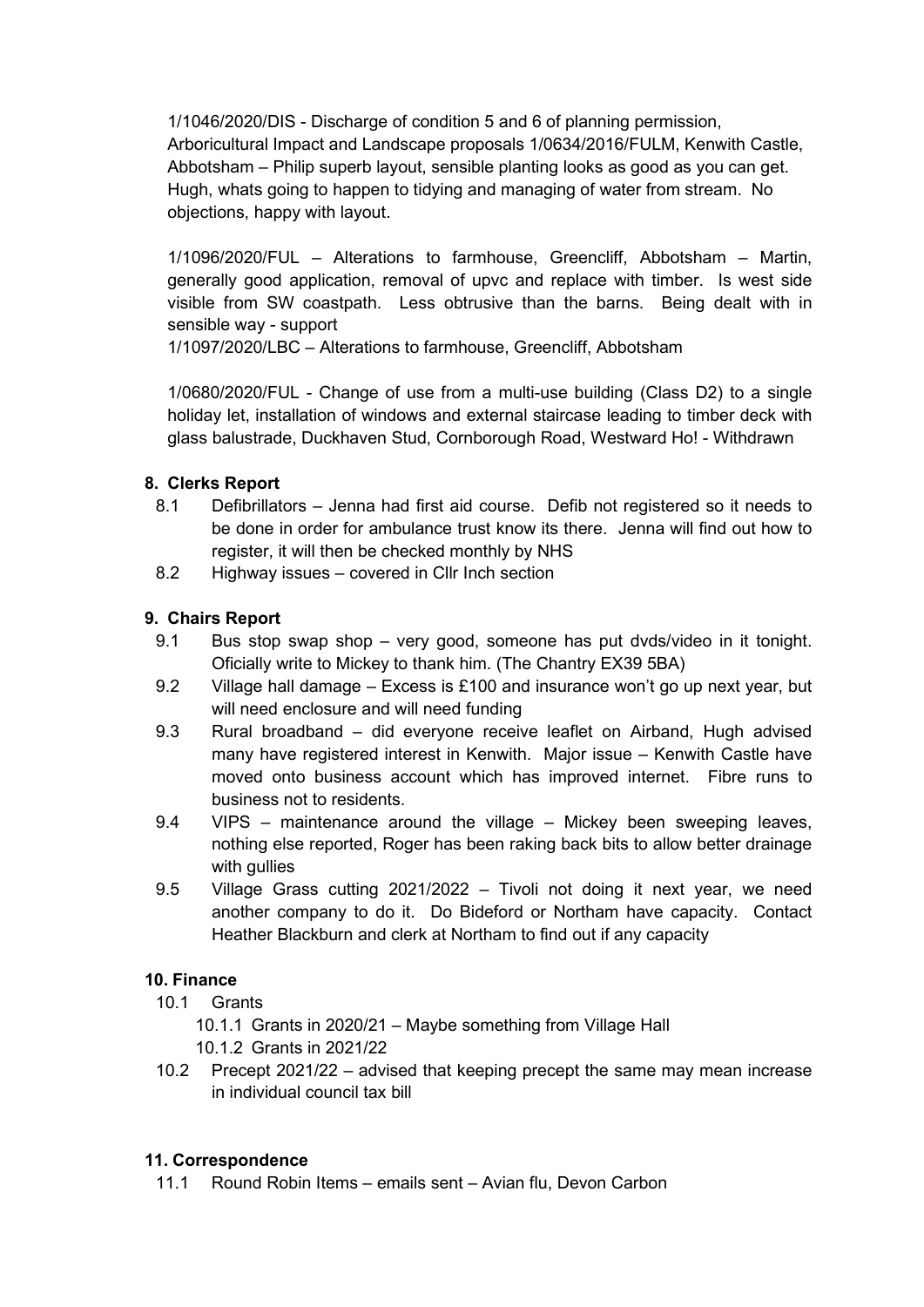1/1046/2020/DIS - Discharge of condition 5 and 6 of planning permission, Arboricultural Impact and Landscape proposals 1/0634/2016/FULM, Kenwith Castle, Abbotsham – Philip superb layout, sensible planting looks as good as you can get. Hugh, whats going to happen to tidying and managing of water from stream. No objections, happy with layout.

1/1096/2020/FUL – Alterations to farmhouse, Greencliff, Abbotsham – Martin, generally good application, removal of upvc and replace with timber. Is west side visible from SW coastpath. Less obtrusive than the barns. Being dealt with in sensible way - support

1/1097/2020/LBC – Alterations to farmhouse, Greencliff, Abbotsham

1/0680/2020/FUL - Change of use from a multi-use building (Class D2) to a single holiday let, installation of windows and external staircase leading to timber deck with glass balustrade, Duckhaven Stud, Cornborough Road, Westward Ho! - Withdrawn

# 8. Clerks Report

- 8.1 Defibrillators Jenna had first aid course. Defib not registered so it needs to be done in order for ambulance trust know its there. Jenna will find out how to register, it will then be checked monthly by NHS
- 8.2 Highway issues covered in Cllr Inch section

### 9. Chairs Report

- 9.1 Bus stop swap shop very good, someone has put dvds/video in it tonight. Oficially write to Mickey to thank him. (The Chantry EX39 5BA)
- 9.2 Village hall damage Excess is £100 and insurance won't go up next year, but will need enclosure and will need funding
- 9.3 Rural broadband did everyone receive leaflet on Airband, Hugh advised many have registered interest in Kenwith. Major issue – Kenwith Castle have moved onto business account which has improved internet. Fibre runs to business not to residents.
- 9.4 VIPS maintenance around the village Mickey been sweeping leaves, nothing else reported, Roger has been raking back bits to allow better drainage with gullies
- 9.5 Village Grass cutting 2021/2022 Tivoli not doing it next year, we need another company to do it. Do Bideford or Northam have capacity. Contact Heather Blackburn and clerk at Northam to find out if any capacity

# 10. Finance

10.1 Grants

10.1.1 Grants in 2020/21 – Maybe something from Village Hall 10.1.2 Grants in 2021/22

10.2 Precept 2021/22 – advised that keeping precept the same may mean increase in individual council tax bill

#### 11. Correspondence

11.1 Round Robin Items – emails sent – Avian flu, Devon Carbon